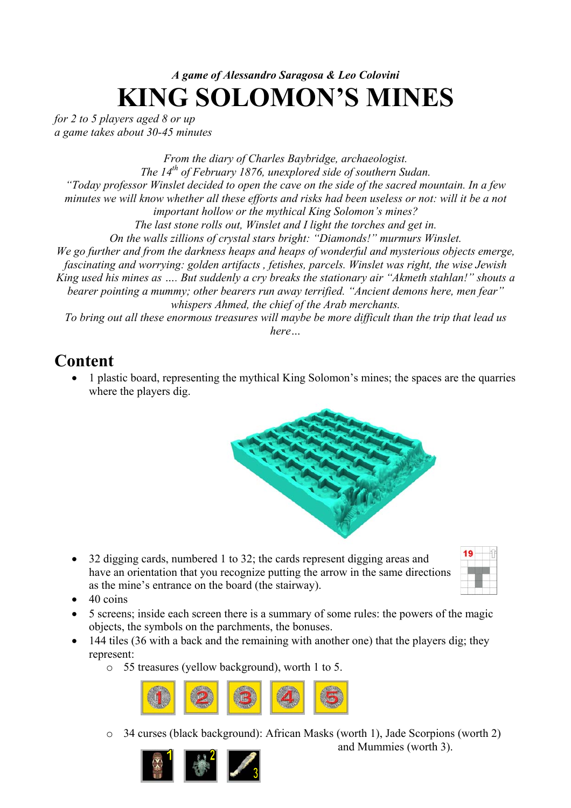# *A game of Alessandro Saragosa & Leo Colovini*  **KING SOLOMON'S MINES**

*for 2 to 5 players aged 8 or up a game takes about 30-45 minutes* 

*From the diary of Charles Baybridge, archaeologist. The 14th of February 1876, unexplored side of southern Sudan. "Today professor Winslet decided to open the cave on the side of the sacred mountain. In a few minutes we will know whether all these efforts and risks had been useless or not: will it be a not important hollow or the mythical King Solomon's mines? The last stone rolls out, Winslet and I light the torches and get in. On the walls zillions of crystal stars bright: "Diamonds!" murmurs Winslet. We go further and from the darkness heaps and heaps of wonderful and mysterious objects emerge, fascinating and worrying: golden artifacts , fetishes, parcels. Winslet was right, the wise Jewish King used his mines as …. But suddenly a cry breaks the stationary air "Akmeth stahlan!" shouts a bearer pointing a mummy; other bearers run away terrified. "Ancient demons here, men fear" whispers Ahmed, the chief of the Arab merchants. To bring out all these enormous treasures will maybe be more difficult than the trip that lead us here…* 

# **Content**

• 1 plastic board, representing the mythical King Solomon's mines; the spaces are the quarries where the players dig.



• 32 digging cards, numbered 1 to 32; the cards represent digging areas and have an orientation that you recognize putting the arrow in the same directions as the mine's entrance on the board (the stairway).

| 49<br>T                            |                   | Ì<br>ı |
|------------------------------------|-------------------|--------|
| <b>START COMPANY</b><br>۰<br>×     | .<br>아직           |        |
| <b>CONTRACTOR</b>                  |                   | í.     |
| ì<br>.<br><b>Contract Contract</b> | <b>STATISTICS</b> |        |

- $\bullet$  40 coins
- 5 screens; inside each screen there is a summary of some rules: the powers of the magic objects, the symbols on the parchments, the bonuses.
- 144 tiles (36 with a back and the remaining with another one) that the players dig; they represent:
	- o 55 treasures (yellow background), worth 1 to 5.



o 34 curses (black background): African Masks (worth 1), Jade Scorpions (worth 2)

and Mummies (worth 3).

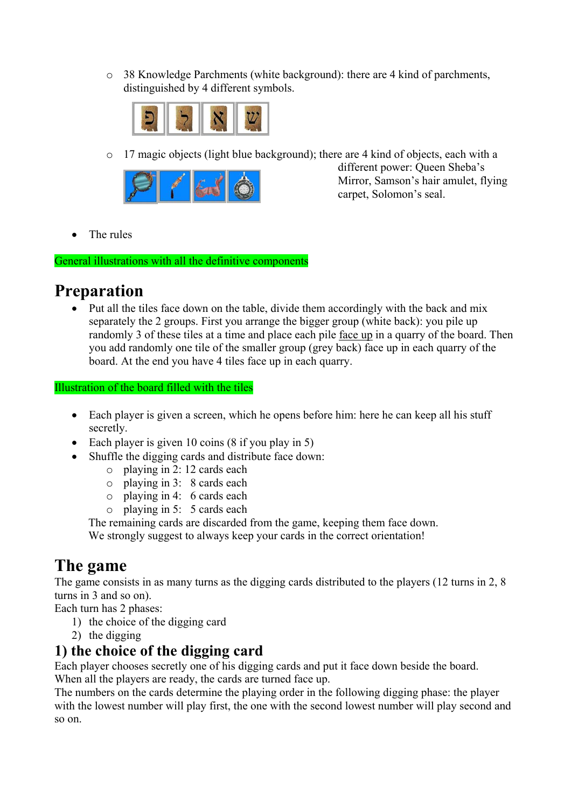o 38 Knowledge Parchments (white background): there are 4 kind of parchments, distinguished by 4 different symbols.



o 17 magic objects (light blue background); there are 4 kind of objects, each with a



different power: Queen Sheba's Mirror, Samson's hair amulet, flying carpet, Solomon's seal.

• The rules

General illustrations with all the definitive components

# **Preparation**

• Put all the tiles face down on the table, divide them accordingly with the back and mix separately the 2 groups. First you arrange the bigger group (white back): you pile up randomly 3 of these tiles at a time and place each pile face up in a quarry of the board. Then you add randomly one tile of the smaller group (grey back) face up in each quarry of the board. At the end you have 4 tiles face up in each quarry.

Illustration of the board filled with the tiles

- Each player is given a screen, which he opens before him: here he can keep all his stuff secretly.
- Each player is given 10 coins (8 if you play in 5)
- Shuffle the digging cards and distribute face down:
	- o playing in 2: 12 cards each
	- o playing in 3: 8 cards each
	- o playing in 4: 6 cards each
	- o playing in 5: 5 cards each

The remaining cards are discarded from the game, keeping them face down. We strongly suggest to always keep your cards in the correct orientation!

# **The game**

The game consists in as many turns as the digging cards distributed to the players (12 turns in 2, 8 turns in 3 and so on).

- Each turn has 2 phases:
	- 1) the choice of the digging card
	- 2) the digging

### **1) the choice of the digging card**

Each player chooses secretly one of his digging cards and put it face down beside the board. When all the players are ready, the cards are turned face up.

The numbers on the cards determine the playing order in the following digging phase: the player with the lowest number will play first, the one with the second lowest number will play second and so on.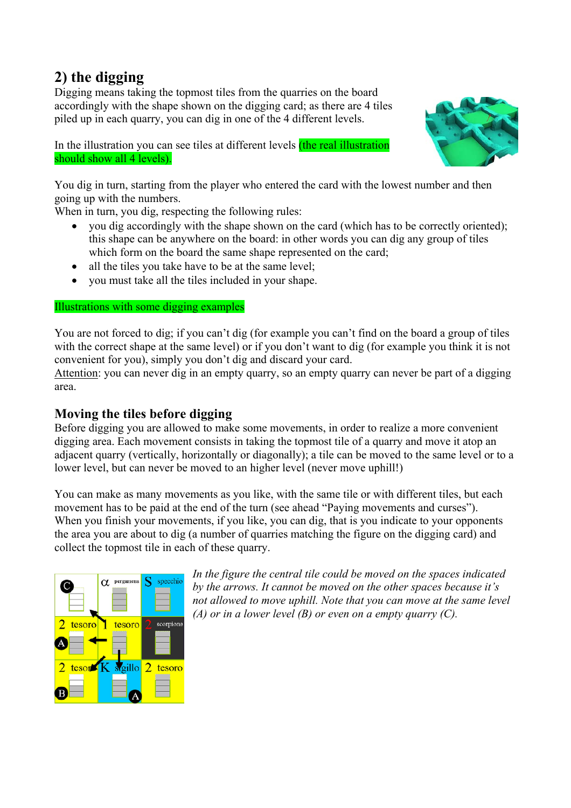### **2) the digging**

Digging means taking the topmost tiles from the quarries on the board accordingly with the shape shown on the digging card; as there are 4 tiles piled up in each quarry, you can dig in one of the 4 different levels.



In the illustration you can see tiles at different levels *(the real illustration*) should show all 4 levels).

You dig in turn, starting from the player who entered the card with the lowest number and then going up with the numbers.

When in turn, you dig, respecting the following rules:

- you dig accordingly with the shape shown on the card (which has to be correctly oriented); this shape can be anywhere on the board: in other words you can dig any group of tiles which form on the board the same shape represented on the card;
- all the tiles you take have to be at the same level:
- vou must take all the tiles included in your shape.

#### Illustrations with some digging examples

You are not forced to dig; if you can't dig (for example you can't find on the board a group of tiles with the correct shape at the same level) or if you don't want to dig (for example you think it is not convenient for you), simply you don't dig and discard your card.

Attention: you can never dig in an empty quarry, so an empty quarry can never be part of a digging area.

#### **Moving the tiles before digging**

Before digging you are allowed to make some movements, in order to realize a more convenient digging area. Each movement consists in taking the topmost tile of a quarry and move it atop an adjacent quarry (vertically, horizontally or diagonally); a tile can be moved to the same level or to a lower level, but can never be moved to an higher level (never move uphill!)

You can make as many movements as you like, with the same tile or with different tiles, but each movement has to be paid at the end of the turn (see ahead "Paying movements and curses"). When you finish your movements, if you like, you can dig, that is you indicate to your opponents the area you are about to dig (a number of quarries matching the figure on the digging card) and collect the topmost tile in each of these quarry.



*In the figure the central tile could be moved on the spaces indicated by the arrows. It cannot be moved on the other spaces because it's not allowed to move uphill. Note that you can move at the same level (A) or in a lower level (B) or even on a empty quarry (C).*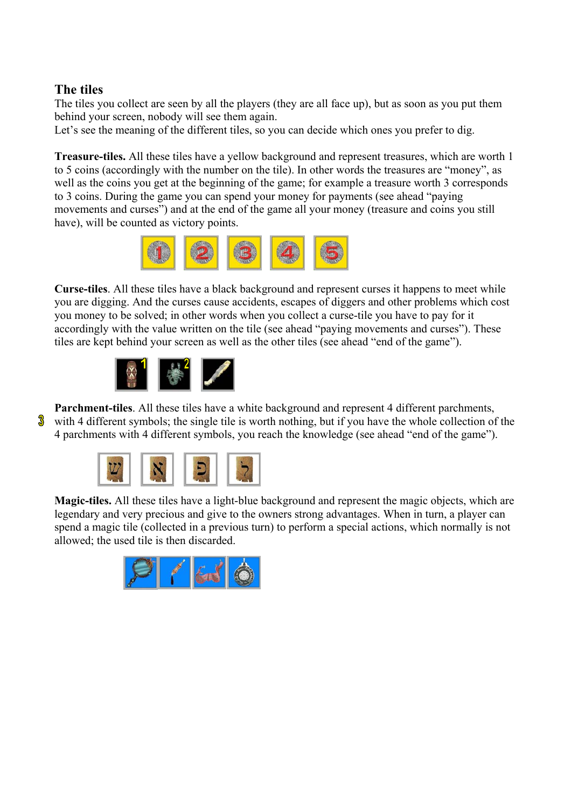#### **The tiles**

The tiles you collect are seen by all the players (they are all face up), but as soon as you put them behind your screen, nobody will see them again.

Let's see the meaning of the different tiles, so you can decide which ones you prefer to dig.

**Treasure-tiles.** All these tiles have a yellow background and represent treasures, which are worth 1 to 5 coins (accordingly with the number on the tile). In other words the treasures are "money", as well as the coins you get at the beginning of the game; for example a treasure worth 3 corresponds to 3 coins. During the game you can spend your money for payments (see ahead "paying movements and curses") and at the end of the game all your money (treasure and coins you still have), will be counted as victory points.



**Curse-tiles**. All these tiles have a black background and represent curses it happens to meet while you are digging. And the curses cause accidents, escapes of diggers and other problems which cost you money to be solved; in other words when you collect a curse-tile you have to pay for it accordingly with the value written on the tile (see ahead "paying movements and curses"). These tiles are kept behind your screen as well as the other tiles (see ahead "end of the game").



**Parchment-tiles**. All these tiles have a white background and represent 4 different parchments,  $\delta$  with 4 different symbols; the single tile is worth nothing, but if you have the whole collection of the

4 parchments with 4 different symbols, you reach the knowledge (see ahead "end of the game").



**Magic-tiles.** All these tiles have a light-blue background and represent the magic objects, which are legendary and very precious and give to the owners strong advantages. When in turn, a player can spend a magic tile (collected in a previous turn) to perform a special actions, which normally is not allowed; the used tile is then discarded.

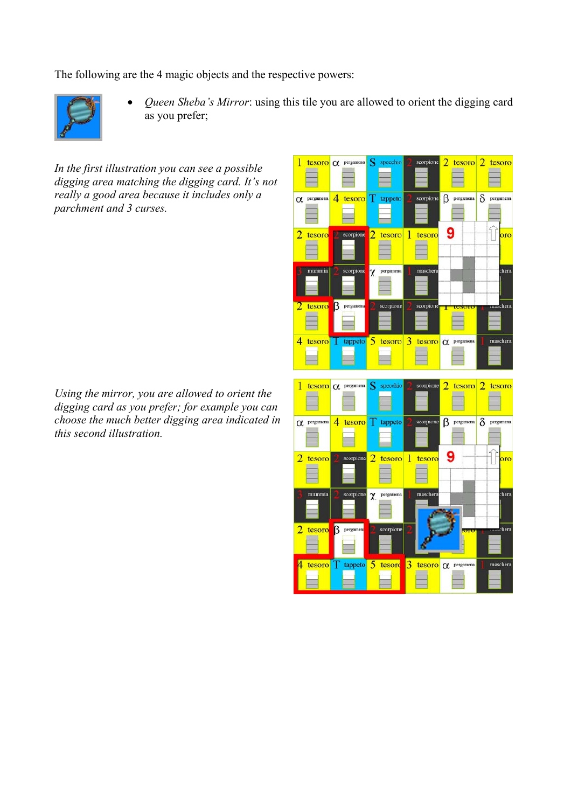The following are the 4 magic objects and the respective powers:



• *Queen Sheba's Mirror*: using this tile you are allowed to orient the digging card as you prefer;

*In the first illustration you can see a possible digging area matching the digging card. It's not really a good area because it includes only a parchment and 3 curses.* 

*Using the mirror, you are allowed to orient the digging card as you prefer; for example you can choose the much better digging area indicated in this second illustration.* 

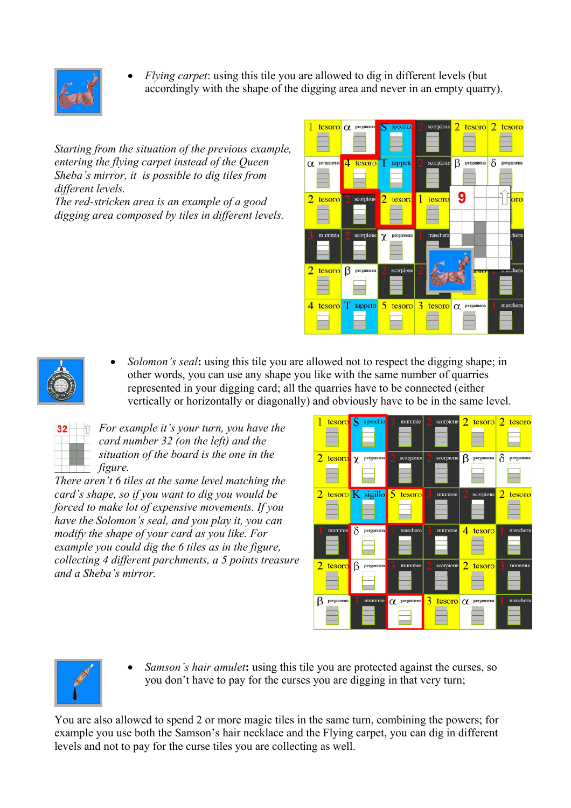

• *Flying carpet*: using this tile you are allowed to dig in different levels (but accordingly with the shape of the digging area and never in an empty quarry).

*Starting from the situation of the previous example, entering the flying carpet instead of the Queen Sheba's mirror, it is possible to dig tiles from different levels.* 

*The red-stricken area is an example of a good digging area composed by tiles in different levels.* 



• *Solomon's seal***:** using this tile you are allowed not to respect the digging shape; in other words, you can use any shape you like with the same number of quarries represented in your digging card; all the quarries have to be connected (either vertically or horizontally or diagonally) and obviously have to be in the same level.

|                          | n k |  |
|--------------------------|-----|--|
| ٠                        | ł   |  |
| ī<br>n L<br>٠            |     |  |
| ٦<br>T.<br>i.<br>j.<br>. |     |  |
| <b>Service</b><br>.      |     |  |
|                          |     |  |

*For example it's your turn, you have the card number 32 (on the left) and the situation of the board is the one in the figure.* 

*There aren't 6 tiles at the same level matching the card's shape, so if you want to dig you would be forced to make lot of expensive movements. If you have the Solomon's seal, and you play it, you can modify the shape of your card as you like. For example you could dig the 6 tiles as in the figure, collecting 4 different parchments, a 5 points treasure and a Sheba's mirror.*





• *Samson's hair amulet***:** using this tile you are protected against the curses, so you don't have to pay for the curses you are digging in that very turn;

You are also allowed to spend 2 or more magic tiles in the same turn, combining the powers; for example you use both the Samson's hair necklace and the Flying carpet, you can dig in different levels and not to pay for the curse tiles you are collecting as well.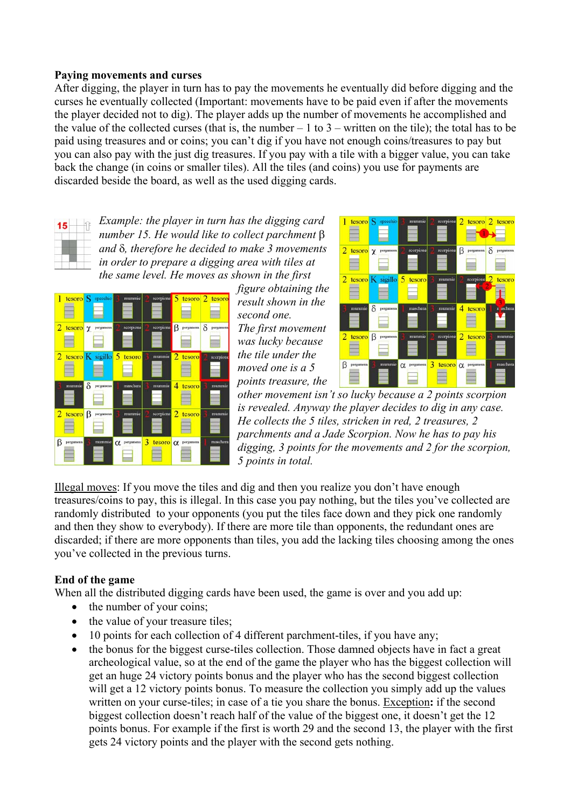#### **Paying movements and curses**

After digging, the player in turn has to pay the movements he eventually did before digging and the curses he eventually collected (Important: movements have to be paid even if after the movements the player decided not to dig). The player adds up the number of movements he accomplished and the value of the collected curses (that is, the number  $-1$  to  $3$  – written on the tile); the total has to be paid using treasures and or coins; you can't dig if you have not enough coins/treasures to pay but you can also pay with the just dig treasures. If you pay with a tile with a bigger value, you can take back the change (in coins or smaller tiles). All the tiles (and coins) you use for payments are discarded beside the board, as well as the used digging cards.



*Example: the player in turn has the digging card number 15. He would like to collect parchment* β *and* δ*, therefore he decided to make 3 movements in order to prepare a digging area with tiles at the same level. He moves as shown in the first* 



*figure obtaining the result shown in the second one. The first movement was lucky because the tile under the moved one is a 5 points treasure, the* 



*other movement isn't so lucky because a 2 points scorpion is revealed. Anyway the player decides to dig in any case. He collects the 5 tiles, stricken in red, 2 treasures, 2 parchments and a Jade Scorpion. Now he has to pay his digging, 3 points for the movements and 2 for the scorpion, 5 points in total.* 

Illegal moves: If you move the tiles and dig and then you realize you don't have enough treasures/coins to pay, this is illegal. In this case you pay nothing, but the tiles you've collected are randomly distributed to your opponents (you put the tiles face down and they pick one randomly and then they show to everybody). If there are more tile than opponents, the redundant ones are discarded; if there are more opponents than tiles, you add the lacking tiles choosing among the ones you've collected in the previous turns.

#### **End of the game**

When all the distributed digging cards have been used, the game is over and you add up:

- the number of your coins;
- the value of your treasure tiles;
- 10 points for each collection of 4 different parchment-tiles, if you have any;
- the bonus for the biggest curse-tiles collection. Those damned objects have in fact a great archeological value, so at the end of the game the player who has the biggest collection will get an huge 24 victory points bonus and the player who has the second biggest collection will get a 12 victory points bonus. To measure the collection you simply add up the values written on your curse-tiles; in case of a tie you share the bonus. Exception**:** if the second biggest collection doesn't reach half of the value of the biggest one, it doesn't get the 12 points bonus. For example if the first is worth 29 and the second 13, the player with the first gets 24 victory points and the player with the second gets nothing.